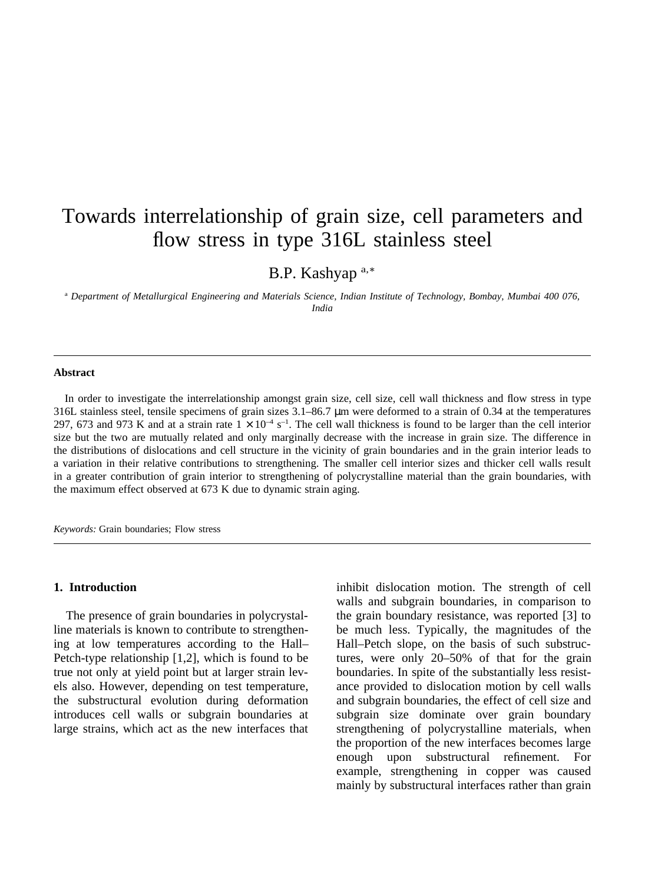# Towards interrelationship of grain size, cell parameters and flow stress in type 316L stainless steel

B.P. Kashyap a,<sup>∗</sup>

<sup>a</sup> *Department of Metallurgical Engineering and Materials Science, Indian Institute of Technology, Bombay, Mumbai 400 076, India*

### **Abstract**

In order to investigate the interrelationship amongst grain size, cell size, cell wall thickness and flow stress in type 316L stainless steel, tensile specimens of grain sizes 3.1–86.7 µm were deformed to a strain of 0.34 at the temperatures 297, 673 and 973 K and at a strain rate  $1 \times 10^{-4}$  s<sup>-1</sup>. The cell wall thickness is found to be larger than the cell interior size but the two are mutually related and only marginally decrease with the increase in grain size. The difference in the distributions of dislocations and cell structure in the vicinity of grain boundaries and in the grain interior leads to a variation in their relative contributions to strengthening. The smaller cell interior sizes and thicker cell walls result in a greater contribution of grain interior to strengthening of polycrystalline material than the grain boundaries, with the maximum effect observed at 673 K due to dynamic strain aging.

*Keywords:* Grain boundaries; Flow stress

#### **1. Introduction**

The presence of grain boundaries in polycrystalline materials is known to contribute to strengthening at low temperatures according to the Hall– Petch-type relationship [1,2], which is found to be true not only at yield point but at larger strain levels also. However, depending on test temperature, the substructural evolution during deformation introduces cell walls or subgrain boundaries at large strains, which act as the new interfaces that

inhibit dislocation motion. The strength of cell walls and subgrain boundaries, in comparison to the grain boundary resistance, was reported [3] to be much less. Typically, the magnitudes of the Hall–Petch slope, on the basis of such substructures, were only 20–50% of that for the grain boundaries. In spite of the substantially less resistance provided to dislocation motion by cell walls and subgrain boundaries, the effect of cell size and subgrain size dominate over grain boundary strengthening of polycrystalline materials, when the proportion of the new interfaces becomes large enough upon substructural refinement. For example, strengthening in copper was caused mainly by substructural interfaces rather than grain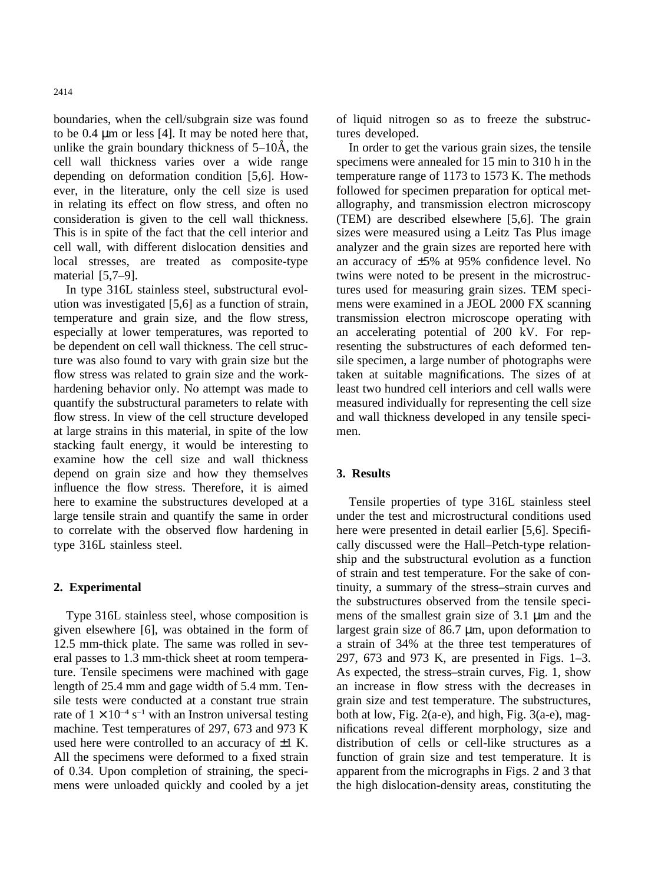2414

boundaries, when the cell/subgrain size was found to be  $0.4 \mu m$  or less [4]. It may be noted here that, unlike the grain boundary thickness of  $5-10\text{\AA}$ , the cell wall thickness varies over a wide range depending on deformation condition [5,6]. However, in the literature, only the cell size is used in relating its effect on flow stress, and often no consideration is given to the cell wall thickness. This is in spite of the fact that the cell interior and cell wall, with different dislocation densities and local stresses, are treated as composite-type material [5,7–9].

In type 316L stainless steel, substructural evolution was investigated [5,6] as a function of strain, temperature and grain size, and the flow stress, especially at lower temperatures, was reported to be dependent on cell wall thickness. The cell structure was also found to vary with grain size but the flow stress was related to grain size and the workhardening behavior only. No attempt was made to quantify the substructural parameters to relate with flow stress. In view of the cell structure developed at large strains in this material, in spite of the low stacking fault energy, it would be interesting to examine how the cell size and wall thickness depend on grain size and how they themselves influence the flow stress. Therefore, it is aimed here to examine the substructures developed at a large tensile strain and quantify the same in order to correlate with the observed flow hardening in type 316L stainless steel.

# **2. Experimental**

Type 316L stainless steel, whose composition is given elsewhere [6], was obtained in the form of 12.5 mm-thick plate. The same was rolled in several passes to 1.3 mm-thick sheet at room temperature. Tensile specimens were machined with gage length of 25.4 mm and gage width of 5.4 mm. Tensile tests were conducted at a constant true strain rate of  $1 \times 10^{-4}$  s<sup>-1</sup> with an Instron universal testing machine. Test temperatures of 297, 673 and 973 K used here were controlled to an accuracy of  $\pm 1$  K. All the specimens were deformed to a fixed strain of 0.34. Upon completion of straining, the specimens were unloaded quickly and cooled by a jet of liquid nitrogen so as to freeze the substructures developed.

In order to get the various grain sizes, the tensile specimens were annealed for 15 min to 310 h in the temperature range of 1173 to 1573 K. The methods followed for specimen preparation for optical metallography, and transmission electron microscopy (TEM) are described elsewhere [5,6]. The grain sizes were measured using a Leitz Tas Plus image analyzer and the grain sizes are reported here with an accuracy of ±5% at 95% confidence level. No twins were noted to be present in the microstructures used for measuring grain sizes. TEM specimens were examined in a JEOL 2000 FX scanning transmission electron microscope operating with an accelerating potential of 200 kV. For representing the substructures of each deformed tensile specimen, a large number of photographs were taken at suitable magnifications. The sizes of at least two hundred cell interiors and cell walls were measured individually for representing the cell size and wall thickness developed in any tensile specimen.

## **3. Results**

Tensile properties of type 316L stainless steel under the test and microstructural conditions used here were presented in detail earlier [5,6]. Specifically discussed were the Hall–Petch-type relationship and the substructural evolution as a function of strain and test temperature. For the sake of continuity, a summary of the stress–strain curves and the substructures observed from the tensile specimens of the smallest grain size of 3.1 µm and the largest grain size of 86.7  $\mu$ m, upon deformation to a strain of 34% at the three test temperatures of 297, 673 and 973 K, are presented in Figs. 1–3. As expected, the stress–strain curves, Fig. 1, show an increase in flow stress with the decreases in grain size and test temperature. The substructures, both at low, Fig.  $2(a-e)$ , and high, Fig.  $3(a-e)$ , magnifications reveal different morphology, size and distribution of cells or cell-like structures as a function of grain size and test temperature. It is apparent from the micrographs in Figs. 2 and 3 that the high dislocation-density areas, constituting the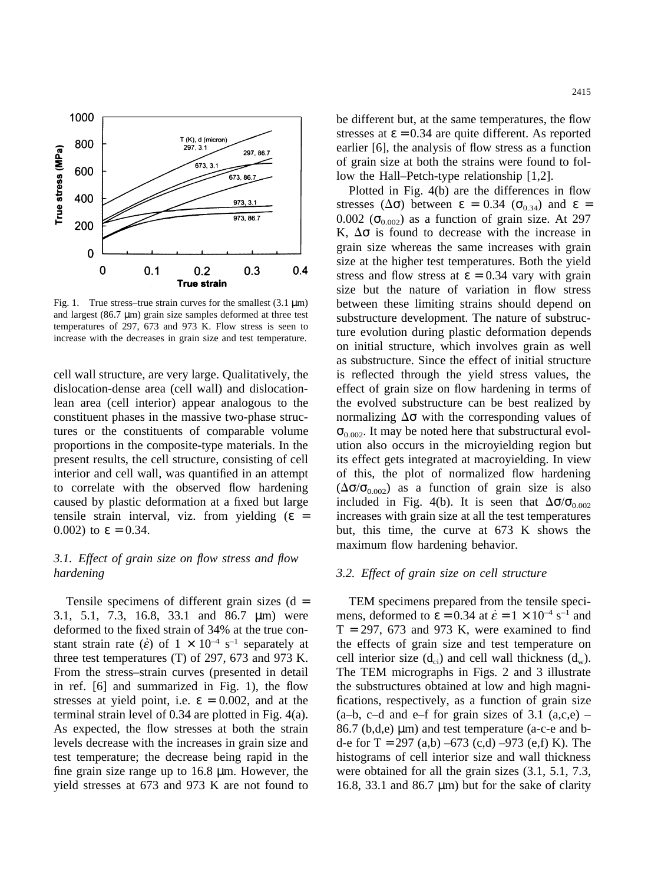

Fig. 1. True stress–true strain curves for the smallest  $(3.1 \text{ µm})$ and largest  $(86.7 \mu m)$  grain size samples deformed at three test temperatures of 297, 673 and 973 K. Flow stress is seen to increase with the decreases in grain size and test temperature.

cell wall structure, are very large. Qualitatively, the dislocation-dense area (cell wall) and dislocationlean area (cell interior) appear analogous to the constituent phases in the massive two-phase structures or the constituents of comparable volume proportions in the composite-type materials. In the present results, the cell structure, consisting of cell interior and cell wall, was quantified in an attempt to correlate with the observed flow hardening caused by plastic deformation at a fixed but large tensile strain interval, viz. from yielding  $(\epsilon =$ 0.002) to  $ε = 0.34$ .

# *3.1. Effect of grain size on flow stress and flow hardening*

Tensile specimens of different grain sizes  $(d =$ 3.1, 5.1, 7.3, 16.8, 33.1 and 86.7 µm) were deformed to the fixed strain of 34% at the true constant strain rate ( $\dot{\epsilon}$ ) of  $1 \times 10^{-4}$  s<sup>-1</sup> separately at three test temperatures (T) of 297, 673 and 973 K. From the stress–strain curves (presented in detail in ref. [6] and summarized in Fig. 1), the flow stresses at yield point, i.e.  $\varepsilon = 0.002$ , and at the terminal strain level of 0.34 are plotted in Fig. 4(a). As expected, the flow stresses at both the strain levels decrease with the increases in grain size and test temperature; the decrease being rapid in the fine grain size range up to 16.8 µm. However, the yield stresses at 673 and 973 K are not found to be different but, at the same temperatures, the flow stresses at  $\epsilon = 0.34$  are quite different. As reported earlier [6], the analysis of flow stress as a function of grain size at both the strains were found to fol-

low the Hall–Petch-type relationship [1,2]. Plotted in Fig. 4(b) are the differences in flow stresses ( $\Delta \sigma$ ) between  $\epsilon = 0.34$  ( $\sigma_{0.34}$ ) and  $\epsilon =$ 0.002 ( $\sigma_{0.002}$ ) as a function of grain size. At 297 K,  $\Delta \sigma$  is found to decrease with the increase in grain size whereas the same increases with grain size at the higher test temperatures. Both the yield stress and flow stress at  $\varepsilon = 0.34$  vary with grain size but the nature of variation in flow stress between these limiting strains should depend on substructure development. The nature of substructure evolution during plastic deformation depends on initial structure, which involves grain as well as substructure. Since the effect of initial structure is reflected through the yield stress values, the effect of grain size on flow hardening in terms of the evolved substructure can be best realized by normalizing  $\Delta \sigma$  with the corresponding values of  $\sigma_{0.002}$ . It may be noted here that substructural evolution also occurs in the microyielding region but its effect gets integrated at macroyielding. In view of this, the plot of normalized flow hardening  $(\Delta \sigma / \sigma_{0.002})$  as a function of grain size is also included in Fig. 4(b). It is seen that  $\Delta\sigma/\sigma_{0.002}$ increases with grain size at all the test temperatures but, this time, the curve at 673 K shows the maximum flow hardening behavior.

# *3.2. Effect of grain size on cell structure*

TEM specimens prepared from the tensile specimens, deformed to  $\varepsilon = 0.34$  at  $\dot{\varepsilon} = 1 \times 10^{-4}$  s<sup>-1</sup> and  $T = 297, 673$  and 973 K, were examined to find the effects of grain size and test temperature on cell interior size  $(d_{ci})$  and cell wall thickness  $(d_w)$ . The TEM micrographs in Figs. 2 and 3 illustrate the substructures obtained at low and high magnifications, respectively, as a function of grain size  $(a-b, c-d, and e-f$  for grain sizes of 3.1  $(a,c,e)$  $86.7$  (b,d,e)  $\mu$ m) and test temperature (a-c-e and bd-e for T = 297 (a,b) –673 (c,d) –973 (e,f) K). The histograms of cell interior size and wall thickness were obtained for all the grain sizes (3.1, 5.1, 7.3, 16.8, 33.1 and 86.7  $\mu$ m) but for the sake of clarity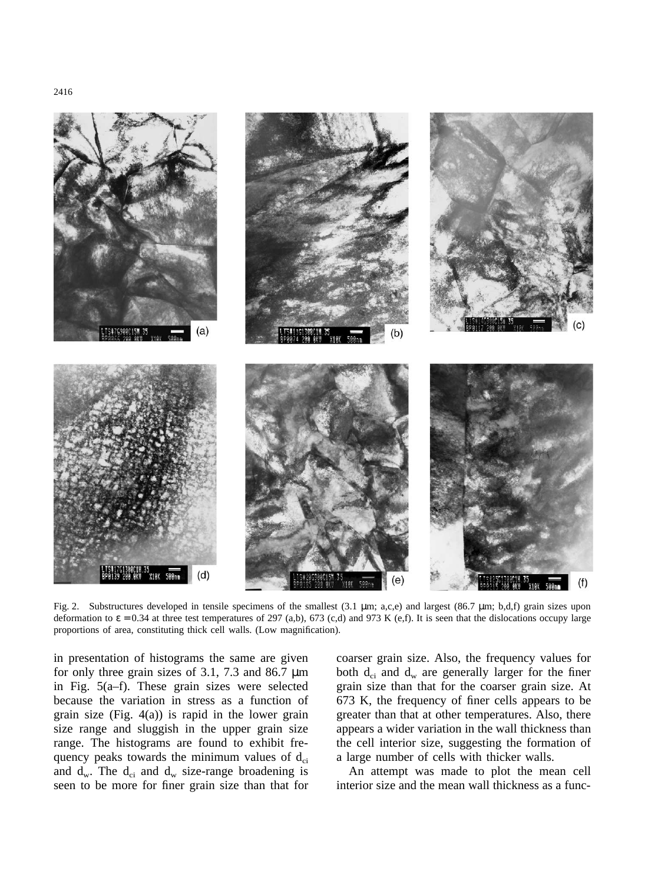

Fig. 2. Substructures developed in tensile specimens of the smallest (3.1 µm; a,c,e) and largest (86.7 µm; b,d,f) grain sizes upon deformation to  $\varepsilon = 0.34$  at three test temperatures of 297 (a,b), 673 (c,d) and 973 K (e,f). It is seen that the dislocations occupy large proportions of area, constituting thick cell walls. (Low magnification).

in presentation of histograms the same are given for only three grain sizes of 3.1, 7.3 and 86.7  $\mu$ m in Fig. 5(a–f). These grain sizes were selected because the variation in stress as a function of grain size (Fig. 4(a)) is rapid in the lower grain size range and sluggish in the upper grain size range. The histograms are found to exhibit frequency peaks towards the minimum values of  $d_{ci}$ and  $d_w$ . The  $d_{ci}$  and  $d_w$  size-range broadening is seen to be more for finer grain size than that for

coarser grain size. Also, the frequency values for both  $d_{ci}$  and  $d_w$  are generally larger for the finer grain size than that for the coarser grain size. At 673 K, the frequency of finer cells appears to be greater than that at other temperatures. Also, there appears a wider variation in the wall thickness than the cell interior size, suggesting the formation of a large number of cells with thicker walls.

An attempt was made to plot the mean cell interior size and the mean wall thickness as a func-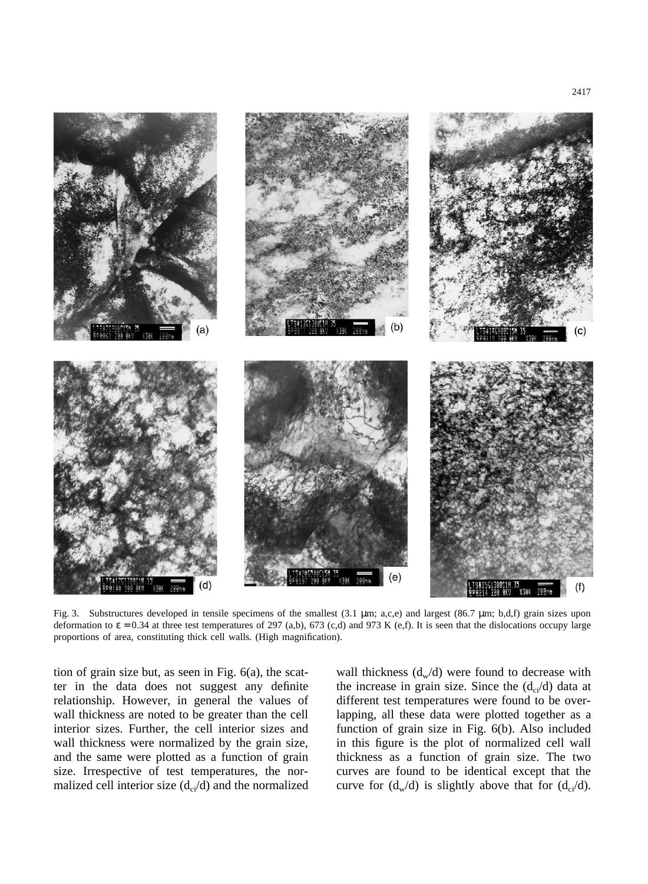

Fig. 3. Substructures developed in tensile specimens of the smallest (3.1 µm; a,c,e) and largest (86.7 µm; b,d,f) grain sizes upon deformation to  $\varepsilon = 0.34$  at three test temperatures of 297 (a,b), 673 (c,d) and 973 K (e,f). It is seen that the dislocations occupy large proportions of area, constituting thick cell walls. (High magnification).

tion of grain size but, as seen in Fig. 6(a), the scatter in the data does not suggest any definite relationship. However, in general the values of wall thickness are noted to be greater than the cell interior sizes. Further, the cell interior sizes and wall thickness were normalized by the grain size, and the same were plotted as a function of grain size. Irrespective of test temperatures, the normalized cell interior size  $(d_{ci}/d)$  and the normalized

wall thickness  $(d_w/d)$  were found to decrease with the increase in grain size. Since the  $(d_{ci}/d)$  data at different test temperatures were found to be overlapping, all these data were plotted together as a function of grain size in Fig. 6(b). Also included in this figure is the plot of normalized cell wall thickness as a function of grain size. The two curves are found to be identical except that the curve for  $(d_w/d)$  is slightly above that for  $(d_{ci}/d)$ .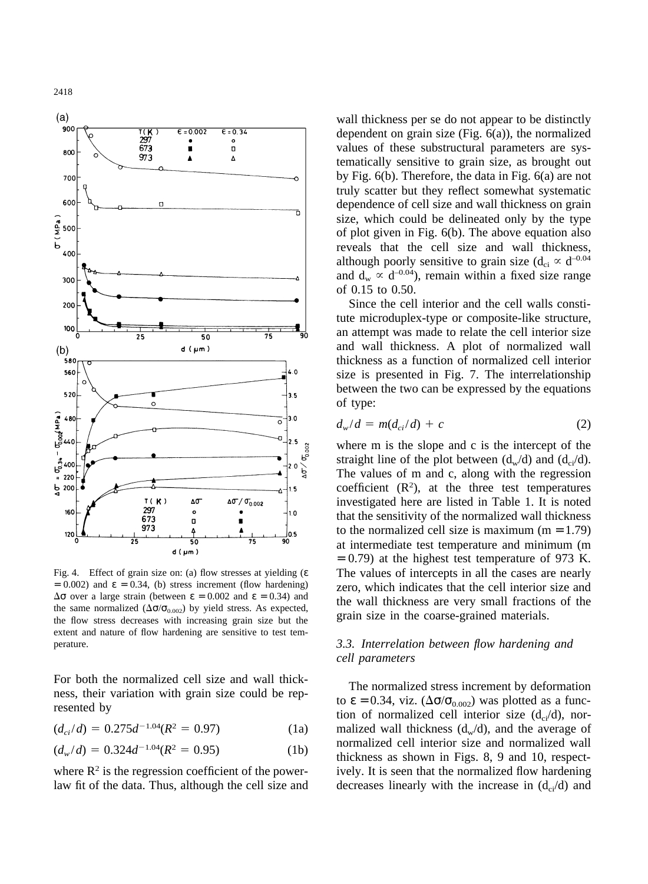

Fig. 4. Effect of grain size on: (a) flow stresses at yielding (ε  $= 0.002$ ) and  $\varepsilon = 0.34$ , (b) stress increment (flow hardening)  $Δσ over a large strain (between ε = 0.002 and ε = 0.34)$  and the same normalized ( $\Delta \sigma / \sigma_{0.002}$ ) by yield stress. As expected, the flow stress decreases with increasing grain size but the extent and nature of flow hardening are sensitive to test temperature.

For both the normalized cell size and wall thickness, their variation with grain size could be represented by

 $(d_{ci}/d) = 0.275d^{-1.04}(R^2 = 0.97)$  (1a)

$$
(d_w/d) = 0.324d^{-1.04}(R^2 = 0.95)
$$
 (1b)

where  $\mathbb{R}^2$  is the regression coefficient of the powerlaw fit of the data. Thus, although the cell size and wall thickness per se do not appear to be distinctly dependent on grain size (Fig. 6(a)), the normalized values of these substructural parameters are systematically sensitive to grain size, as brought out by Fig. 6(b). Therefore, the data in Fig. 6(a) are not truly scatter but they reflect somewhat systematic dependence of cell size and wall thickness on grain size, which could be delineated only by the type of plot given in Fig. 6(b). The above equation also reveals that the cell size and wall thickness, although poorly sensitive to grain size ( $d_{ci} \propto d^{-0.04}$ ) and  $d_w \propto d^{-0.04}$ ), remain within a fixed size range of 0.15 to 0.50.

Since the cell interior and the cell walls constitute microduplex-type or composite-like structure, an attempt was made to relate the cell interior size and wall thickness. A plot of normalized wall thickness as a function of normalized cell interior size is presented in Fig. 7. The interrelationship between the two can be expressed by the equations of type:

$$
d_w/d = m(d_{ci}/d) + c \tag{2}
$$

where m is the slope and c is the intercept of the straight line of the plot between  $(d_w/d)$  and  $(d_{ci}/d)$ . The values of m and c, along with the regression coefficient  $(R<sup>2</sup>)$ , at the three test temperatures investigated here are listed in Table 1. It is noted that the sensitivity of the normalized wall thickness to the normalized cell size is maximum  $(m = 1.79)$ at intermediate test temperature and minimum (m  $= 0.79$ ) at the highest test temperature of 973 K. The values of intercepts in all the cases are nearly zero, which indicates that the cell interior size and the wall thickness are very small fractions of the grain size in the coarse-grained materials.

# *3.3. Interrelation between flow hardening and cell parameters*

The normalized stress increment by deformation to  $\epsilon = 0.34$ , viz. ( $\Delta \sigma / \sigma_{0.002}$ ) was plotted as a function of normalized cell interior size  $(d_{ci}/d)$ , normalized wall thickness  $(d_w/d)$ , and the average of normalized cell interior size and normalized wall thickness as shown in Figs. 8, 9 and 10, respectively. It is seen that the normalized flow hardening decreases linearly with the increase in  $(d_{ci}/d)$  and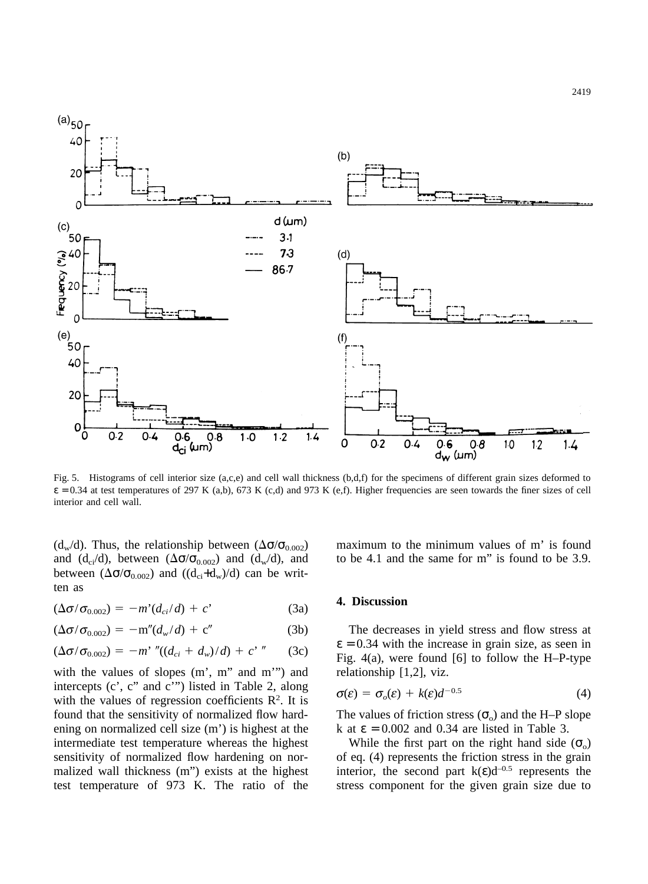

Fig. 5. Histograms of cell interior size (a,c,e) and cell wall thickness (b,d,f) for the specimens of different grain sizes deformed to  $\varepsilon = 0.34$  at test temperatures of 297 K (a,b), 673 K (c,d) and 973 K (e,f). Higher frequencies are seen towards the finer sizes of cell interior and cell wall.

(d<sub>w</sub>/d). Thus, the relationship between ( $\Delta \sigma / \sigma_{0.002}$ ) and (d<sub>ci</sub>/d), between ( $\Delta \sigma / \sigma_{0.002}$ ) and (d<sub>w</sub>/d), and between  $(\Delta \sigma / \sigma_{0.002})$  and  $((d_{ci} + d_w)/d)$  can be written as

$$
(\Delta \sigma / \sigma_{0.002}) = -m'(d_{ci}/d) + c'
$$
 (3a)

$$
(\Delta \sigma / \sigma_{0.002}) = -m''(d_w/d) + c''
$$
 (3b)

$$
(\Delta \sigma / \sigma_{0.002}) = -m' \, ''((d_{ci} + d_w)/d) + c' \, '' \qquad (3c)
$$

with the values of slopes  $(m', m'''$  and m'") and intercepts (c', c" and c'") listed in Table 2, along with the values of regression coefficients  $\mathbb{R}^2$ . It is found that the sensitivity of normalized flow hardening on normalized cell size (m') is highest at the intermediate test temperature whereas the highest sensitivity of normalized flow hardening on normalized wall thickness (m") exists at the highest test temperature of 973 K. The ratio of the maximum to the minimum values of m' is found to be 4.1 and the same for m" is found to be 3.9.

#### **4. Discussion**

The decreases in yield stress and flow stress at  $\epsilon$  = 0.34 with the increase in grain size, as seen in Fig. 4(a), were found [6] to follow the H–P-type relationship [1,2], viz.

$$
\sigma(\varepsilon) = \sigma_o(\varepsilon) + k(\varepsilon)d^{-0.5}
$$
 (4)

The values of friction stress  $(\sigma_0)$  and the H–P slope k at  $\epsilon = 0.002$  and 0.34 are listed in Table 3.

While the first part on the right hand side  $(\sigma_0)$ of eq. (4) represents the friction stress in the grain interior, the second part  $k(\varepsilon)d^{-0.5}$  represents the stress component for the given grain size due to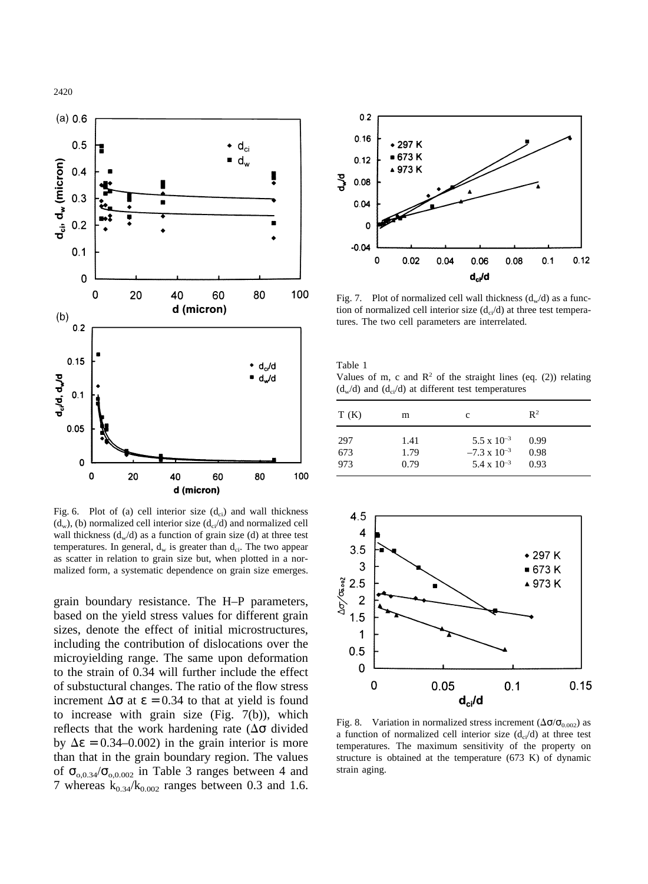

Fig. 6. Plot of (a) cell interior size  $(d_{ci})$  and wall thickness  $(d_w)$ , (b) normalized cell interior size  $(d_{ci}/d)$  and normalized cell wall thickness  $(d_w/d)$  as a function of grain size (d) at three test temperatures. In general,  $d_w$  is greater than  $d_{ci}$ . The two appear as scatter in relation to grain size but, when plotted in a normalized form, a systematic dependence on grain size emerges.

grain boundary resistance. The H–P parameters, based on the yield stress values for different grain sizes, denote the effect of initial microstructures, including the contribution of dislocations over the microyielding range. The same upon deformation to the strain of 0.34 will further include the effect of substuctural changes. The ratio of the flow stress increment  $\Delta \sigma$  at  $\varepsilon = 0.34$  to that at yield is found to increase with grain size (Fig. 7(b)), which reflects that the work hardening rate ( $\Delta\sigma$  divided by  $\Delta \epsilon = 0.34 - 0.002$ ) in the grain interior is more than that in the grain boundary region. The values of  $\sigma_{0,0.34}/\sigma_{0,0.002}$  in Table 3 ranges between 4 and 7 whereas  $k_{0.34}/k_{0.002}$  ranges between 0.3 and 1.6.



Fig. 7. Plot of normalized cell wall thickness  $(d_w/d)$  as a function of normalized cell interior size  $(d_{ci}/d)$  at three test temperatures. The two cell parameters are interrelated.

Table 1 Values of m, c and  $\mathbb{R}^2$  of the straight lines (eq. (2)) relating  $(d_w/d)$  and  $(d_w/d)$  at different test temperatures

| T(K) | m    | c                     | $\mathbb{R}^2$ |  |
|------|------|-----------------------|----------------|--|
| 297  | 1.41 | $5.5 \times 10^{-3}$  | 0.99           |  |
| 673  | 1.79 | $-7.3 \times 10^{-3}$ | 0.98           |  |
| 973  | 0.79 | $5.4 \times 10^{-3}$  | 0.93           |  |



Fig. 8. Variation in normalized stress increment ( $\Delta \sigma / \sigma_{0.002}$ ) as a function of normalized cell interior size  $(d_n/d)$  at three test temperatures. The maximum sensitivity of the property on structure is obtained at the temperature (673 K) of dynamic strain aging.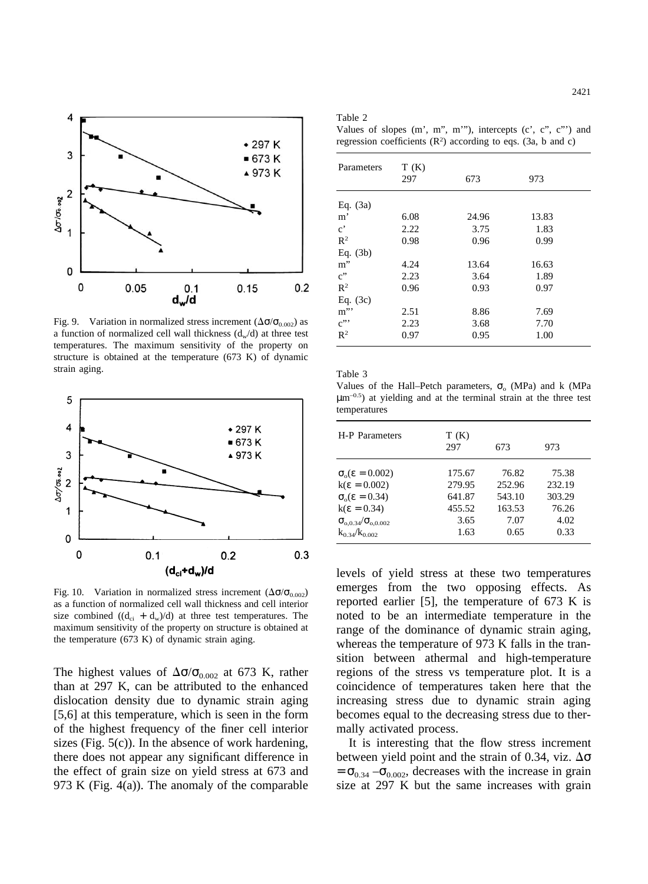

Fig. 9. Variation in normalized stress increment  $(\Delta \sigma / \sigma_{0.002})$  as a function of normalized cell wall thickness  $(d_w/d)$  at three test temperatures. The maximum sensitivity of the property on structure is obtained at the temperature (673 K) of dynamic strain aging.



Fig. 10. Variation in normalized stress increment  $(\Delta \sigma / \sigma_{0.002})$ as a function of normalized cell wall thickness and cell interior size combined  $((d_{ci} + d_w)/d)$  at three test temperatures. The maximum sensitivity of the property on structure is obtained at the temperature (673 K) of dynamic strain aging.

The highest values of  $\Delta\sigma/\sigma_{0.002}$  at 673 K, rather than at 297 K, can be attributed to the enhanced dislocation density due to dynamic strain aging [5,6] at this temperature, which is seen in the form of the highest frequency of the finer cell interior sizes (Fig. 5(c)). In the absence of work hardening, there does not appear any significant difference in the effect of grain size on yield stress at 673 and 973 K (Fig. 4(a)). The anomaly of the comparable

| ۰ | ٧<br>× |  |
|---|--------|--|
|   |        |  |

Values of slopes (m', m", m'"), intercepts (c', c", c"') and regression coefficients  $(R^2)$  according to eqs. (3a, b and c)

| Parameters            | T(K) |       |       |
|-----------------------|------|-------|-------|
|                       | 297  | 673   | 973   |
| Eq. $(3a)$            |      |       |       |
| m'                    | 6.08 | 24.96 | 13.83 |
| $\mathbf{c}^{\prime}$ | 2.22 | 3.75  | 1.83  |
| $R^2$                 | 0.98 | 0.96  | 0.99  |
| Eq. $(3b)$            |      |       |       |
| $m$ "                 | 4.24 | 13.64 | 16.63 |
| $c$ "                 | 2.23 | 3.64  | 1.89  |
| $R^2$                 | 0.96 | 0.93  | 0.97  |
| Eq. $(3c)$            |      |       |       |
| m''                   | 2.51 | 8.86  | 7.69  |
| $c$ "                 | 2.23 | 3.68  | 7.70  |
| $R^2$                 | 0.97 | 0.95  | 1.00  |

Table 3

Values of the Hall–Petch parameters,  $\sigma_0$  (MPa) and k (MPa  $\mu$ m<sup>-0.5</sup>) at vielding and at the terminal strain at the three test temperatures

| H-P Parameters                     | T(K)<br>297 | 673    | 973    |
|------------------------------------|-------------|--------|--------|
| $\sigma_{0}(\epsilon = 0.002)$     | 175.67      | 76.82  | 75.38  |
| $k(\epsilon = 0.002)$              | 279.95      | 252.96 | 232.19 |
| $\sigma_{0}(\epsilon = 0.34)$      | 641.87      | 543.10 | 303.29 |
| $k(\epsilon = 0.34)$               | 455.52      | 163.53 | 76.26  |
| $\sigma_{0.0.34}/\sigma_{0.0.002}$ | 3.65        | 7.07   | 4.02   |
| $k_{0.34}/k_{0.002}$               | 1.63        | 0.65   | 0.33   |

levels of yield stress at these two temperatures emerges from the two opposing effects. As reported earlier [5], the temperature of 673 K is noted to be an intermediate temperature in the range of the dominance of dynamic strain aging, whereas the temperature of 973 K falls in the transition between athermal and high-temperature regions of the stress vs temperature plot. It is a coincidence of temperatures taken here that the increasing stress due to dynamic strain aging becomes equal to the decreasing stress due to thermally activated process.

It is interesting that the flow stress increment between yield point and the strain of 0.34, viz.  $\Delta\sigma$  $=$   $\sigma_{0.34}$  – $\sigma_{0.002}$ , decreases with the increase in grain size at 297 K but the same increases with grain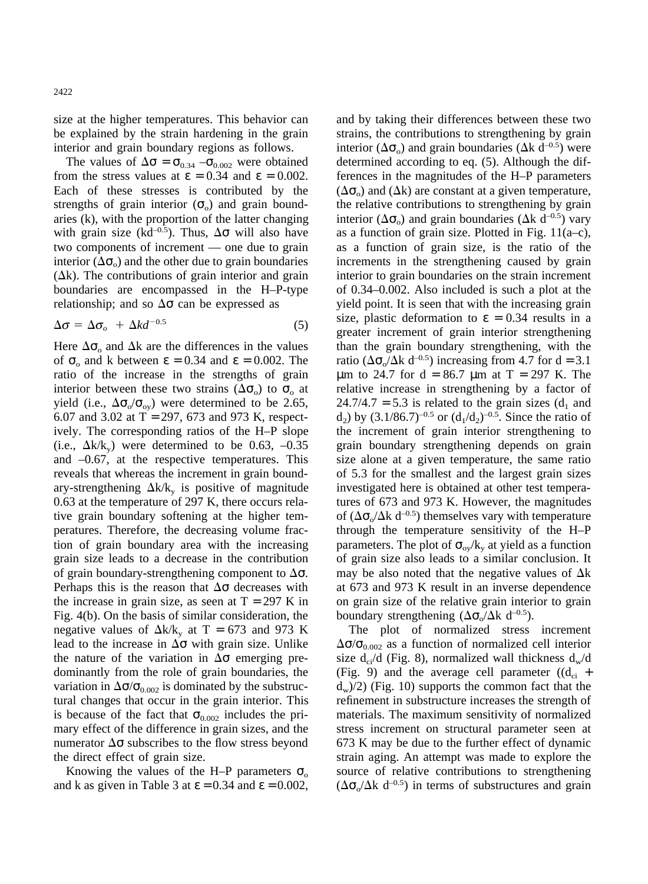size at the higher temperatures. This behavior can be explained by the strain hardening in the grain interior and grain boundary regions as follows.

The values of  $\Delta \sigma = \sigma_{0.34} - \sigma_{0.002}$  were obtained from the stress values at  $\varepsilon = 0.34$  and  $\varepsilon = 0.002$ . Each of these stresses is contributed by the strengths of grain interior  $(\sigma_0)$  and grain boundaries (k), with the proportion of the latter changing with grain size (kd<sup>-0.5</sup>). Thus,  $\Delta \sigma$  will also have two components of increment — one due to grain interior  $(\Delta \sigma_0)$  and the other due to grain boundaries  $(\Delta k)$ . The contributions of grain interior and grain boundaries are encompassed in the H–P-type relationship; and so  $\Delta\sigma$  can be expressed as

$$
\Delta \sigma = \Delta \sigma_o + \Delta k d^{-0.5} \tag{5}
$$

Here  $\Delta\sigma_0$  and  $\Delta k$  are the differences in the values of  $\sigma_0$  and k between  $\epsilon = 0.34$  and  $\epsilon = 0.002$ . The ratio of the increase in the strengths of grain interior between these two strains  $(\Delta \sigma_0)$  to  $\sigma_0$  at yield (i.e.,  $\Delta\sigma_{\rm o}/\sigma_{\rm ov}$ ) were determined to be 2.65, 6.07 and 3.02 at  $T = 297, 673$  and 973 K, respectively. The corresponding ratios of the H–P slope (i.e.,  $\Delta k/k_v$ ) were determined to be 0.63, -0.35 and –0.67, at the respective temperatures. This reveals that whereas the increment in grain boundary-strengthening  $\Delta k/k_v$  is positive of magnitude 0.63 at the temperature of 297 K, there occurs relative grain boundary softening at the higher temperatures. Therefore, the decreasing volume fraction of grain boundary area with the increasing grain size leads to a decrease in the contribution of grain boundary-strengthening component to  $\Delta\sigma$ . Perhaps this is the reason that  $\Delta\sigma$  decreases with the increase in grain size, as seen at  $T = 297$  K in Fig. 4(b). On the basis of similar consideration, the negative values of  $\Delta k/k_v$  at T = 673 and 973 K lead to the increase in  $\Delta\sigma$  with grain size. Unlike the nature of the variation in  $\Delta\sigma$  emerging predominantly from the role of grain boundaries, the variation in  $\Delta \sigma / \sigma_{0.002}$  is dominated by the substructural changes that occur in the grain interior. This is because of the fact that  $\sigma_{0.002}$  includes the primary effect of the difference in grain sizes, and the numerator  $\Delta \sigma$  subscribes to the flow stress beyond the direct effect of grain size.

Knowing the values of the H–P parameters  $\sigma_{\rm o}$ and k as given in Table 3 at  $\varepsilon = 0.34$  and  $\varepsilon = 0.002$ , and by taking their differences between these two strains, the contributions to strengthening by grain interior ( $\Delta \sigma$ ) and grain boundaries ( $\Delta k$  d<sup>-0.5</sup>) were determined according to eq. (5). Although the differences in the magnitudes of the H–P parameters  $(\Delta \sigma_{0})$  and  $(\Delta k)$  are constant at a given temperature, the relative contributions to strengthening by grain interior ( $\Delta \sigma_0$ ) and grain boundaries ( $\Delta k$  d<sup>-0.5</sup>) vary as a function of grain size. Plotted in Fig.  $11(a-c)$ , as a function of grain size, is the ratio of the increments in the strengthening caused by grain interior to grain boundaries on the strain increment of 0.34–0.002. Also included is such a plot at the yield point. It is seen that with the increasing grain size, plastic deformation to  $\varepsilon = 0.34$  results in a greater increment of grain interior strengthening than the grain boundary strengthening, with the ratio ( $\Delta \sigma$ <sub>o</sub>/ $\Delta k$  d<sup>-0.5</sup>) increasing from 4.7 for d = 3.1  $\mu$ m to 24.7 for d = 86.7  $\mu$ m at T = 297 K. The relative increase in strengthening by a factor of  $24.7/4.7 = 5.3$  is related to the grain sizes (d<sub>1</sub> and  $d_2$ ) by  $(3.1/86.7)^{-0.5}$  or  $(d_1/d_2)^{-0.5}$ . Since the ratio of the increment of grain interior strengthening to grain boundary strengthening depends on grain size alone at a given temperature, the same ratio of 5.3 for the smallest and the largest grain sizes investigated here is obtained at other test temperatures of 673 and 973 K. However, the magnitudes of  $(\Delta \sigma_{0}/\Delta k \ d^{-0.5})$  themselves vary with temperature through the temperature sensitivity of the H–P parameters. The plot of  $\sigma_{oy}/k_y$  at yield as a function of grain size also leads to a similar conclusion. It may be also noted that the negative values of  $\Delta k$ at 673 and 973 K result in an inverse dependence on grain size of the relative grain interior to grain boundary strengthening  $(\Delta \sigma / \Delta k \ d^{-0.5})$ .

The plot of normalized stress increment  $\Delta\sigma/\sigma_{0.002}$  as a function of normalized cell interior size  $d_{ci}/d$  (Fig. 8), normalized wall thickness  $d_w/d$ (Fig. 9) and the average cell parameter  $((d_{ci} +$  $d_w/2$ ) (Fig. 10) supports the common fact that the refinement in substructure increases the strength of materials. The maximum sensitivity of normalized stress increment on structural parameter seen at 673 K may be due to the further effect of dynamic strain aging. An attempt was made to explore the source of relative contributions to strengthening  $(\Delta \sigma_{o}/\Delta k \ d^{-0.5})$  in terms of substructures and grain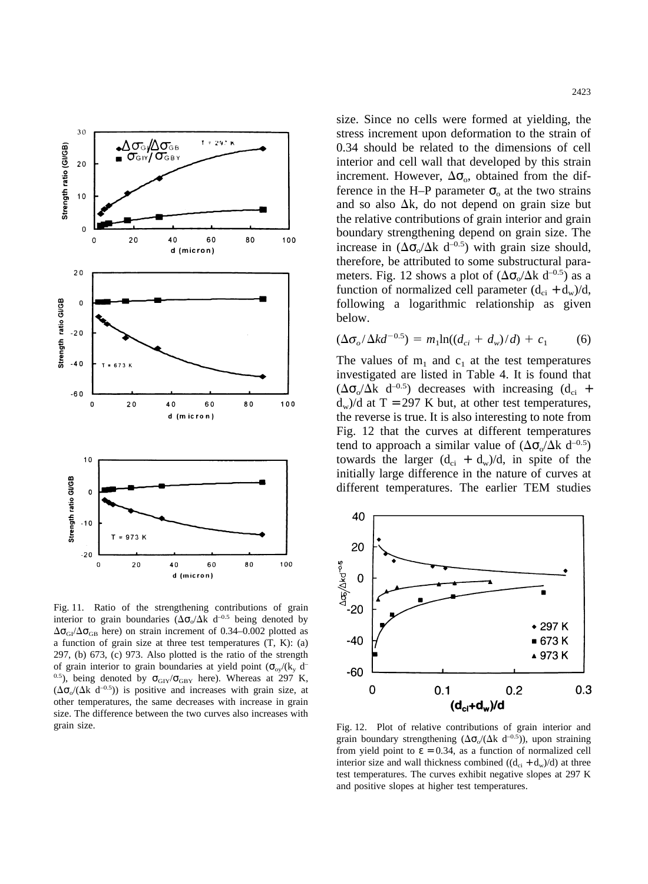

Fig. 11. Ratio of the strengthening contributions of grain interior to grain boundaries ( $\Delta \sigma_o / \Delta k$  d<sup>-0.5</sup> being denoted by  $\Delta\sigma_{GI}/\Delta\sigma_{GB}$  here) on strain increment of 0.34–0.002 plotted as a function of grain size at three test temperatures (T, K): (a) 297, (b) 673, (c) 973. Also plotted is the ratio of the strength of grain interior to grain boundaries at yield point  $(\sigma_{oy}/(k_y \text{ d}^{-1}))$ <sup>0.5</sup>), being denoted by  $\sigma_{\text{GIV}}/\sigma_{\text{GBY}}$  here). Whereas at 297 K,  $(\Delta \sigma$   $(\Delta k \ d^{-0.5}))$  is positive and increases with grain size, at other temperatures, the same decreases with increase in grain size. The difference between the two curves also increases with grain size.

size. Since no cells were formed at yielding, the stress increment upon deformation to the strain of 0.34 should be related to the dimensions of cell interior and cell wall that developed by this strain increment. However,  $\Delta\sigma_{\rm o}$ , obtained from the difference in the H–P parameter  $\sigma_0$  at the two strains and so also  $\Delta k$ , do not depend on grain size but the relative contributions of grain interior and grain boundary strengthening depend on grain size. The increase in  $(\Delta \sigma_0 / \Delta k \ d^{-0.5})$  with grain size should, therefore, be attributed to some substructural parameters. Fig. 12 shows a plot of  $(\Delta \sigma_0 / \Delta k \ d^{-0.5})$  as a function of normalized cell parameter  $(d_{ci} + d_w)/d$ , following a logarithmic relationship as given below.

$$
(\Delta \sigma_o / \Delta k d^{-0.5}) = m_1 \ln((d_{ci} + d_w)/d) + c_1 \tag{6}
$$

The values of  $m_1$  and  $c_1$  at the test temperatures investigated are listed in Table 4. It is found that  $(\Delta \sigma_o / \Delta k \ d^{-0.5})$  decreases with increasing  $(d_{ci} +$  $d_w$ )/d at T = 297 K but, at other test temperatures, the reverse is true. It is also interesting to note from Fig. 12 that the curves at different temperatures tend to approach a similar value of  $(\Delta \sigma_{o}/\Delta k \ d^{-0.5})$ towards the larger  $(d_{ci} + d_w)/d$ , in spite of the initially large difference in the nature of curves at different temperatures. The earlier TEM studies



Fig. 12. Plot of relative contributions of grain interior and grain boundary strengthening  $(\Delta \sigma_{o}/(\Delta k \ d^{-0.5}))$ , upon straining from yield point to  $\varepsilon = 0.34$ , as a function of normalized cell interior size and wall thickness combined  $((d_{ci} + d_w)/d)$  at three test temperatures. The curves exhibit negative slopes at 297 K and positive slopes at higher test temperatures.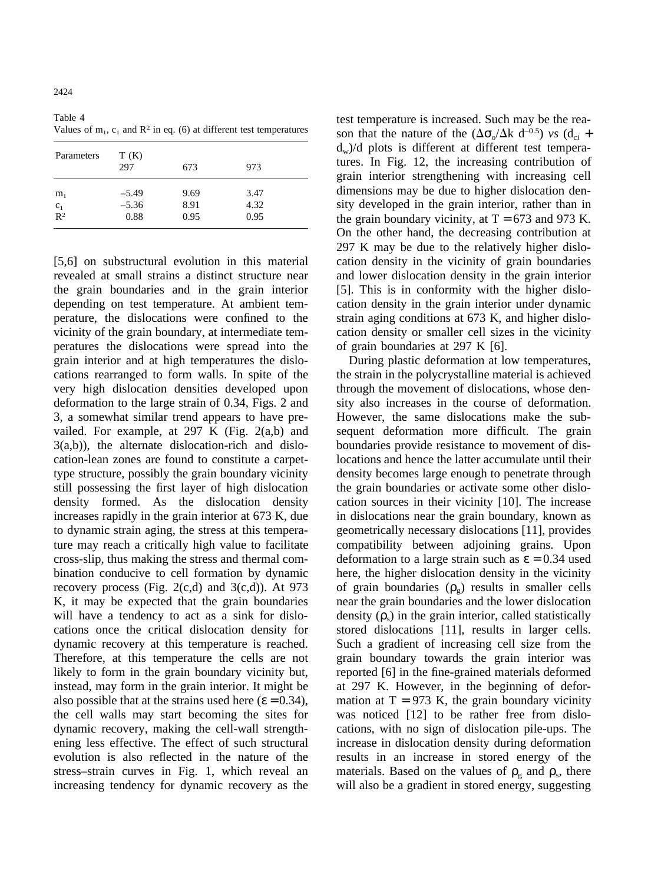2424

Table 4 Values of  $m_1$ ,  $c_1$  and  $\mathbb{R}^2$  in eq. (6) at different test temperatures

| Parameters                          | T(K)<br>297                | 673                  | 973                  |  |
|-------------------------------------|----------------------------|----------------------|----------------------|--|
| m <sub>1</sub><br>$\frac{c_1}{R^2}$ | $-5.49$<br>$-5.36$<br>0.88 | 9.69<br>8.91<br>0.95 | 3.47<br>4.32<br>0.95 |  |

[5,6] on substructural evolution in this material revealed at small strains a distinct structure near the grain boundaries and in the grain interior depending on test temperature. At ambient temperature, the dislocations were confined to the vicinity of the grain boundary, at intermediate temperatures the dislocations were spread into the grain interior and at high temperatures the dislocations rearranged to form walls. In spite of the very high dislocation densities developed upon deformation to the large strain of 0.34, Figs. 2 and 3, a somewhat similar trend appears to have prevailed. For example, at 297 K (Fig. 2(a,b) and 3(a,b)), the alternate dislocation-rich and dislocation-lean zones are found to constitute a carpettype structure, possibly the grain boundary vicinity still possessing the first layer of high dislocation density formed. As the dislocation density increases rapidly in the grain interior at 673 K, due to dynamic strain aging, the stress at this temperature may reach a critically high value to facilitate cross-slip, thus making the stress and thermal combination conducive to cell formation by dynamic recovery process (Fig.  $2(c,d)$  and  $3(c,d)$ ). At 973 K, it may be expected that the grain boundaries will have a tendency to act as a sink for dislocations once the critical dislocation density for dynamic recovery at this temperature is reached. Therefore, at this temperature the cells are not likely to form in the grain boundary vicinity but, instead, may form in the grain interior. It might be also possible that at the strains used here ( $\varepsilon$  = 0.34), the cell walls may start becoming the sites for dynamic recovery, making the cell-wall strengthening less effective. The effect of such structural evolution is also reflected in the nature of the stress–strain curves in Fig. 1, which reveal an increasing tendency for dynamic recovery as the

test temperature is increased. Such may be the reason that the nature of the  $(\Delta \sigma_{o}/\Delta k \, d^{-0.5})$  *vs* (d<sub>ci</sub> +  $d_w$ )/d plots is different at different test temperatures. In Fig. 12, the increasing contribution of grain interior strengthening with increasing cell dimensions may be due to higher dislocation density developed in the grain interior, rather than in the grain boundary vicinity, at  $T = 673$  and 973 K. On the other hand, the decreasing contribution at 297 K may be due to the relatively higher dislocation density in the vicinity of grain boundaries and lower dislocation density in the grain interior [5]. This is in conformity with the higher dislocation density in the grain interior under dynamic strain aging conditions at 673 K, and higher dislocation density or smaller cell sizes in the vicinity of grain boundaries at 297 K [6].

During plastic deformation at low temperatures, the strain in the polycrystalline material is achieved through the movement of dislocations, whose density also increases in the course of deformation. However, the same dislocations make the subsequent deformation more difficult. The grain boundaries provide resistance to movement of dislocations and hence the latter accumulate until their density becomes large enough to penetrate through the grain boundaries or activate some other dislocation sources in their vicinity [10]. The increase in dislocations near the grain boundary, known as geometrically necessary dislocations [11], provides compatibility between adjoining grains. Upon deformation to a large strain such as  $\varepsilon = 0.34$  used here, the higher dislocation density in the vicinity of grain boundaries  $(\rho_g)$  results in smaller cells near the grain boundaries and the lower dislocation density  $(\rho_s)$  in the grain interior, called statistically stored dislocations [11], results in larger cells. Such a gradient of increasing cell size from the grain boundary towards the grain interior was reported [6] in the fine-grained materials deformed at 297 K. However, in the beginning of deformation at  $T = 973$  K, the grain boundary vicinity was noticed [12] to be rather free from dislocations, with no sign of dislocation pile-ups. The increase in dislocation density during deformation results in an increase in stored energy of the materials. Based on the values of  $\rho_{\rm g}$  and  $\rho_{\rm s}$ , there will also be a gradient in stored energy, suggesting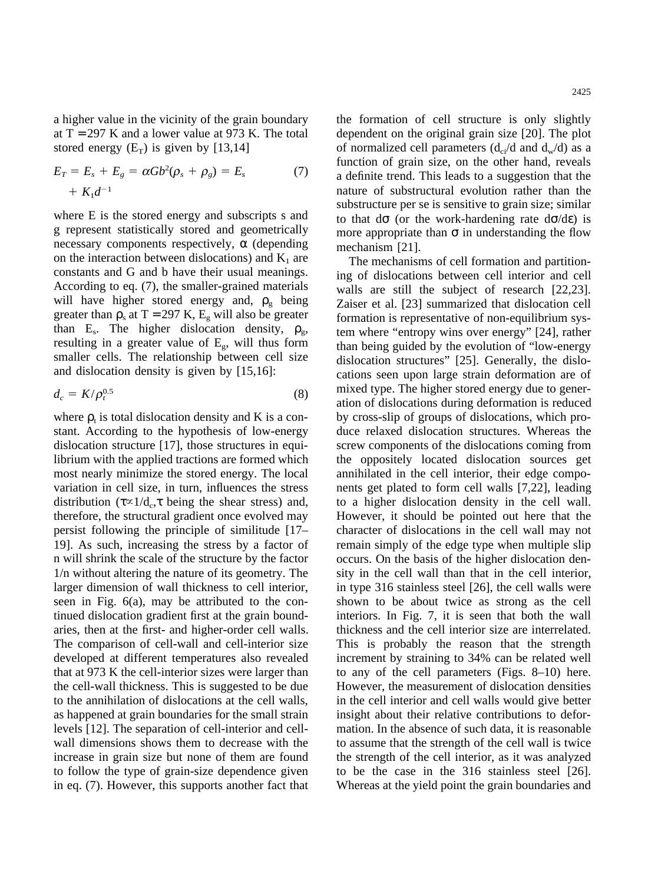a higher value in the vicinity of the grain boundary at  $T = 297$  K and a lower value at 973 K. The total stored energy  $(E_T)$  is given by [13,14]

$$
E_T = E_s + E_g = \alpha G b^2 (\rho_s + \rho_g) = E_s \tag{7}
$$

$$
+ K_1 d^{-1}
$$

where E is the stored energy and subscripts s and g represent statistically stored and geometrically necessary components respectively,  $\alpha$  (depending on the interaction between dislocations) and  $K_1$  are constants and G and b have their usual meanings. According to eq. (7), the smaller-grained materials will have higher stored energy and,  $\rho_{\rm g}$  being greater than  $\rho_s$  at T = 297 K,  $E_g$  will also be greater than E<sub>s</sub>. The higher dislocation density,  $\rho_{g}$ , resulting in a greater value of  $E<sub>g</sub>$ , will thus form smaller cells. The relationship between cell size and dislocation density is given by [15,16]:

$$
d_c = K/\rho_t^{0.5} \tag{8}
$$

where  $\rho_t$  is total dislocation density and K is a constant. According to the hypothesis of low-energy dislocation structure [17], those structures in equilibrium with the applied tractions are formed which most nearly minimize the stored energy. The local variation in cell size, in turn, influences the stress distribution ( $\tau \propto 1/d_c$ ,  $\tau$  being the shear stress) and, therefore, the structural gradient once evolved may persist following the principle of similitude [17– 19]. As such, increasing the stress by a factor of n will shrink the scale of the structure by the factor 1/n without altering the nature of its geometry. The larger dimension of wall thickness to cell interior, seen in Fig. 6(a), may be attributed to the continued dislocation gradient first at the grain boundaries, then at the first- and higher-order cell walls. The comparison of cell-wall and cell-interior size developed at different temperatures also revealed that at 973 K the cell-interior sizes were larger than the cell-wall thickness. This is suggested to be due to the annihilation of dislocations at the cell walls, as happened at grain boundaries for the small strain levels [12]. The separation of cell-interior and cellwall dimensions shows them to decrease with the increase in grain size but none of them are found to follow the type of grain-size dependence given in eq. (7). However, this supports another fact that the formation of cell structure is only slightly dependent on the original grain size [20]. The plot of normalized cell parameters  $(d_{ci}/d \text{ and } d_w/d)$  as a function of grain size, on the other hand, reveals a definite trend. This leads to a suggestion that the nature of substructural evolution rather than the substructure per se is sensitive to grain size; similar to that  $d\sigma$  (or the work-hardening rate  $d\sigma/d\varepsilon$ ) is more appropriate than  $\sigma$  in understanding the flow mechanism [21].

The mechanisms of cell formation and partitioning of dislocations between cell interior and cell walls are still the subject of research [22,23]. Zaiser et al. [23] summarized that dislocation cell formation is representative of non-equilibrium system where "entropy wins over energy" [24], rather than being guided by the evolution of "low-energy dislocation structures" [25]. Generally, the dislocations seen upon large strain deformation are of mixed type. The higher stored energy due to generation of dislocations during deformation is reduced by cross-slip of groups of dislocations, which produce relaxed dislocation structures. Whereas the screw components of the dislocations coming from the oppositely located dislocation sources get annihilated in the cell interior, their edge components get plated to form cell walls [7,22], leading to a higher dislocation density in the cell wall. However, it should be pointed out here that the character of dislocations in the cell wall may not remain simply of the edge type when multiple slip occurs. On the basis of the higher dislocation density in the cell wall than that in the cell interior, in type 316 stainless steel [26], the cell walls were shown to be about twice as strong as the cell interiors. In Fig. 7, it is seen that both the wall thickness and the cell interior size are interrelated. This is probably the reason that the strength increment by straining to 34% can be related well to any of the cell parameters (Figs. 8–10) here. However, the measurement of dislocation densities in the cell interior and cell walls would give better insight about their relative contributions to deformation. In the absence of such data, it is reasonable to assume that the strength of the cell wall is twice the strength of the cell interior, as it was analyzed to be the case in the 316 stainless steel [26]. Whereas at the yield point the grain boundaries and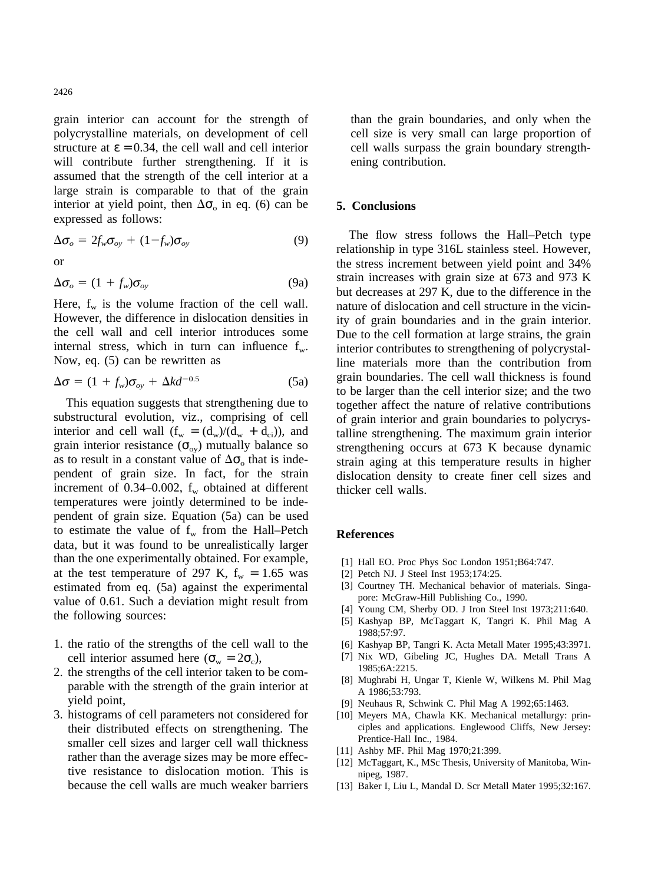grain interior can account for the strength of polycrystalline materials, on development of cell structure at  $\epsilon = 0.34$ , the cell wall and cell interior will contribute further strengthening. If it is assumed that the strength of the cell interior at a large strain is comparable to that of the grain interior at yield point, then  $\Delta\sigma_0$  in eq. (6) can be expressed as follows:

$$
\Delta \sigma_o = 2f_w \sigma_{oy} + (1 - f_w) \sigma_{oy} \tag{9}
$$

or

$$
\Delta \sigma_o = (1 + f_w) \sigma_{oy} \tag{9a}
$$

Here,  $f_w$  is the volume fraction of the cell wall. However, the difference in dislocation densities in the cell wall and cell interior introduces some internal stress, which in turn can influence  $f_{w}$ . Now, eq. (5) can be rewritten as

$$
\Delta \sigma = (1 + f_w)\sigma_{oy} + \Delta k d^{-0.5}
$$
 (5a)

This equation suggests that strengthening due to substructural evolution, viz., comprising of cell interior and cell wall  $(f_w = (d_w)/(d_w + d_{ci}))$ , and grain interior resistance ( $\sigma_{ov}$ ) mutually balance so as to result in a constant value of  $\Delta\sigma_0$  that is independent of grain size. In fact, for the strain increment of 0.34–0.002,  $f_w$  obtained at different temperatures were jointly determined to be independent of grain size. Equation (5a) can be used to estimate the value of  $f_w$  from the Hall–Petch data, but it was found to be unrealistically larger than the one experimentally obtained. For example, at the test temperature of 297 K,  $f_w = 1.65$  was estimated from eq. (5a) against the experimental value of 0.61. Such a deviation might result from the following sources:

- 1. the ratio of the strengths of the cell wall to the cell interior assumed here ( $\sigma_w = 2\sigma_c$ ),
- 2. the strengths of the cell interior taken to be comparable with the strength of the grain interior at yield point,
- 3. histograms of cell parameters not considered for their distributed effects on strengthening. The smaller cell sizes and larger cell wall thickness rather than the average sizes may be more effective resistance to dislocation motion. This is because the cell walls are much weaker barriers

than the grain boundaries, and only when the cell size is very small can large proportion of cell walls surpass the grain boundary strengthening contribution.

### **5. Conclusions**

The flow stress follows the Hall–Petch type relationship in type 316L stainless steel. However, the stress increment between yield point and 34% strain increases with grain size at 673 and 973 K but decreases at 297 K, due to the difference in the nature of dislocation and cell structure in the vicinity of grain boundaries and in the grain interior. Due to the cell formation at large strains, the grain interior contributes to strengthening of polycrystalline materials more than the contribution from grain boundaries. The cell wall thickness is found to be larger than the cell interior size; and the two together affect the nature of relative contributions of grain interior and grain boundaries to polycrystalline strengthening. The maximum grain interior strengthening occurs at 673 K because dynamic strain aging at this temperature results in higher dislocation density to create finer cell sizes and thicker cell walls.

## **References**

- [1] Hall EO. Proc Phys Soc London 1951;B64:747.
- [2] Petch NJ. J Steel Inst 1953;174:25.
- [3] Courtney TH. Mechanical behavior of materials. Singapore: McGraw-Hill Publishing Co., 1990.
- [4] Young CM, Sherby OD. J Iron Steel Inst 1973;211:640.
- [5] Kashyap BP, McTaggart K, Tangri K. Phil Mag A 1988;57:97.
- [6] Kashyap BP, Tangri K. Acta Metall Mater 1995;43:3971.
- [7] Nix WD, Gibeling JC, Hughes DA. Metall Trans A 1985;6A:2215.
- [8] Mughrabi H, Ungar T, Kienle W, Wilkens M. Phil Mag A 1986;53:793.
- [9] Neuhaus R, Schwink C. Phil Mag A 1992;65:1463.
- [10] Meyers MA, Chawla KK. Mechanical metallurgy: principles and applications. Englewood Cliffs, New Jersey: Prentice-Hall Inc., 1984.
- [11] Ashby MF. Phil Mag 1970;21:399.
- [12] McTaggart, K., MSc Thesis, University of Manitoba, Winnipeg, 1987.
- [13] Baker I, Liu L, Mandal D. Scr Metall Mater 1995;32:167.